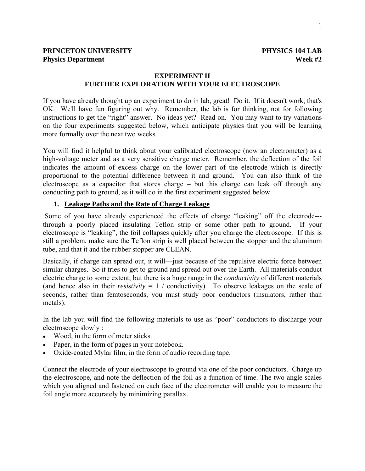# **EXPERIMENT II FURTHER EXPLORATION WITH YOUR ELECTROSCOPE**

If you have already thought up an experiment to do in lab, great! Do it. If it doesn't work, that's OK. We'll have fun figuring out why. Remember, the lab is for thinking, not for following instructions to get the "right" answer. No ideas yet? Read on. You may want to try variations on the four experiments suggested below, which anticipate physics that you will be learning more formally over the next two weeks.

You will find it helpful to think about your calibrated electroscope (now an electrometer) as a high-voltage meter and as a very sensitive charge meter. Remember, the deflection of the foil indicates the amount of excess charge on the lower part of the electrode which is directly proportional to the potential difference between it and ground. You can also think of the electroscope as a capacitor that stores charge – but this charge can leak off through any conducting path to ground, as it will do in the first experiment suggested below.

## **1. Leakage Paths and the Rate of Charge Leakage**

 Some of you have already experienced the effects of charge "leaking" off the electrode-- through a poorly placed insulating Teflon strip or some other path to ground. If your electroscope is "leaking", the foil collapses quickly after you charge the electroscope. If this is still a problem, make sure the Teflon strip is well placed between the stopper and the aluminum tube, and that it and the rubber stopper are CLEAN.

Basically, if charge can spread out, it will—just because of the repulsive electric force between similar charges. So it tries to get to ground and spread out over the Earth. All materials conduct electric charge to some extent, but there is a huge range in the *conductivity* of different materials (and hence also in their *resistivity*  $= 1 / \text{conductivity}$ ). To observe leakages on the scale of seconds, rather than femtoseconds, you must study poor conductors (insulators, rather than metals).

In the lab you will find the following materials to use as "poor" conductors to discharge your electroscope slowly :

- Wood, in the form of meter sticks.
- Paper, in the form of pages in your notebook.
- Oxide-coated Mylar film, in the form of audio recording tape.

Connect the electrode of your electroscope to ground via one of the poor conductors. Charge up the electroscope, and note the deflection of the foil as a function of time. The two angle scales which you aligned and fastened on each face of the electrometer will enable you to measure the foil angle more accurately by minimizing parallax.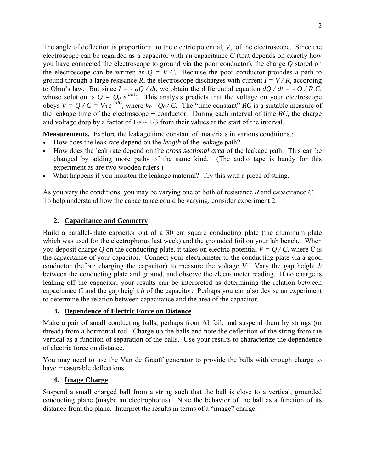The angle of deflection is proportional to the electric potential, *V*, of the electroscope. Since the electroscope can be regarded as a capacitor with an capacitance *C* (that depends on exactly how you have connected the electroscope to ground via the poor conductor), the charge *Q* stored on the electroscope can be written as  $Q = V C$ . Because the poor conductor provides a path to ground through a large resisance *R*, the electroscope discharges with current  $I = V/R$ , according to Ohm's law. But since  $I = -dQ/dt$ , we obtain the differential equation  $dQ/dt = -Q/R C$ , whose solution is  $Q = Q_0 e^{t/RC}$ . This analysis predicts that the voltage on your electroscope obeys  $V = Q / C = V_0 e^{-t/RC}$ , where  $V_0 = Q_0 / C$ . The "time constant" RC is a suitable measure of the leakage time of the electroscope + conductor. During each interval of time  $RC$ , the charge and voltage drop by a factor of  $1/e \sim 1/3$  from their values at the start of the interval.

**Measurements.** Explore the leakage time constant of materials in various conditions.:

- How does the leak rate depend on the *length* of the leakage path?
- How does the leak rate depend on the *cross sectional area* of the leakage path. This can be changed by adding more paths of the same kind. (The audio tape is handy for this experiment as are two wooden rulers.)
- What happens if you moisten the leakage material? Try this with a piece of string.

As you vary the conditions, you may be varying one or both of resistance *R* and capacitance *C*. To help understand how the capacitance could be varying, consider experiment 2.

### **2. Capacitance and Geometry**

Build a parallel-plate capacitor out of a 30 cm square conducting plate (the aluminum plate which was used for the electrophorus last week) and the grounded foil on your lab bench. When you deposit charge Q on the conducting plate, it takes on electric potential  $V = Q/C$ , where C is the capacitance of your capacitor. Connect your electrometer to the conducting plate via a good conductor (before charging the capacitor) to measure the voltage *V*. Vary the gap height *h* between the conducting plate and ground, and observe the electrometer reading. If no charge is leaking off the capacitor, your results can be interpreted as determining the relation between capacitance *C* and the gap height *h* of the capacitor. Perhaps you can also devise an experiment to determine the relation between capacitance and the area of the capacitor.

#### **3. Dependence of Electric Force on Distance**

Make a pair of small conducting balls, perhaps from Al foil, and suspend them by strings (or thread) from a horizontal rod. Charge up the balls and note the deflection of the string from the vertical as a function of separation of the balls. Use your results to characterize the dependence of electric force on distance.

You may need to use the Van de Graaff generator to provide the balls with enough charge to have measurable deflections.

#### **4. Image Charge**

Suspend a small charged ball from a string such that the ball is close to a vertical, grounded conducting plane (maybe an electrophorus). Note the behavior of the ball as a function of its distance from the plane. Interpret the results in terms of a "image" charge.